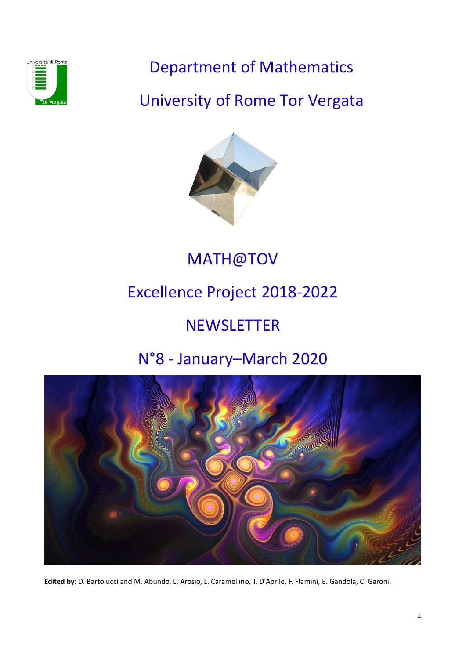

Department of Mathematics

University of Rome Tor Vergata



MATH@TOV

# Excellence Project 2018-2022

# **NEWSLETTER**

# N°8 - January–March 2020



**Edited by**: D. Bartolucci and M. Abundo, L. Arosio, L. Caramellino, T. D'Aprile, F. Flamini, E. Gandola, C. Garoni.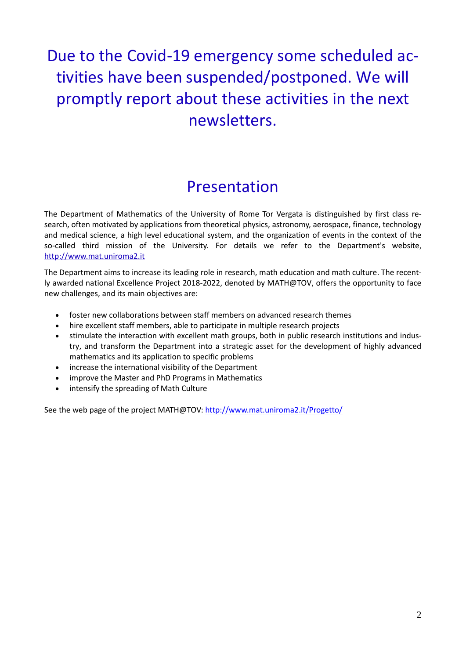# Due to the Covid-19 emergency some scheduled activities have been suspended/postponed. We will promptly report about these activities in the next newsletters.

## Presentation

The Department of Mathematics of the University of Rome Tor Vergata is distinguished by first class research, often motivated by applications from theoretical physics, astronomy, aerospace, finance, technology and medical science, a high level educational system, and the organization of events in the context of the so-called third mission of the University. For details we refer to the Department's website, [http://www.mat.uniroma2.it](http://www.mat.uniroma2.it/)

The Department aims to increase its leading role in research, math education and math culture. The recently awarded national Excellence Project 2018-2022, denoted by MATH@TOV, offers the opportunity to face new challenges, and its main objectives are:

- foster new collaborations between staff members on advanced research themes
- hire excellent staff members, able to participate in multiple research projects
- stimulate the interaction with excellent math groups, both in public research institutions and industry, and transform the Department into a strategic asset for the development of highly advanced mathematics and its application to specific problems
- increase the international visibility of the Department
- improve the Master and PhD Programs in Mathematics
- intensify the spreading of Math Culture

See the web page of the project MATH@TOV:<http://www.mat.uniroma2.it/Progetto/>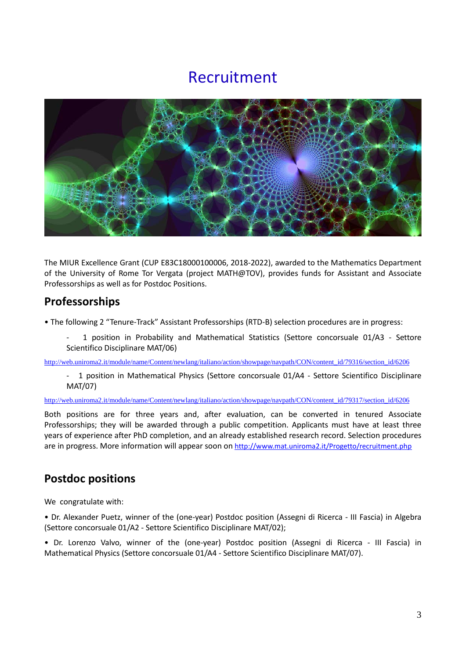## Recruitment



The MIUR Excellence Grant (CUP E83C18000100006, 2018-2022), awarded to the Mathematics Department of the University of Rome Tor Vergata (project MATH@TOV), provides funds for Assistant and Associate Professorships as well as for Postdoc Positions.

### **Professorships**

- The following 2 "Tenure-Track" Assistant Professorships (RTD-B) selection procedures are in progress:
	- 1 position in Probability and Mathematical Statistics (Settore concorsuale 01/A3 Settore Scientifico Disciplinare MAT/06)

[http://web.uniroma2.it/module/name/Content/newlang/italiano/action/showpage/navpath/CON/content\\_id/79316/section\\_id/6206](http://web.uniroma2.it/module/name/Content/newlang/italiano/action/showpage/navpath/CON/content_id/79316/section_id/6206)

1 position in Mathematical Physics (Settore concorsuale 01/A4 - Settore Scientifico Disciplinare MAT/07)

[http://web.uniroma2.it/module/name/Content/newlang/italiano/action/showpage/navpath/CON/content\\_id/79317/section\\_id/6206](http://web.uniroma2.it/module/name/Content/newlang/italiano/action/showpage/navpath/CON/content_id/79317/section_id/6206)

Both positions are for three years and, after evaluation, can be converted in tenured Associate Professorships; they will be awarded through a public competition. Applicants must have at least three years of experience after PhD completion, and an already established research record. Selection procedures are in progress. More information will appear soon on<http://www.mat.uniroma2.it/Progetto/recruitment.php>

## **Postdoc positions**

We congratulate with:

• Dr. Alexander Puetz, winner of the (one-year) Postdoc position (Assegni di Ricerca - III Fascia) in Algebra (Settore concorsuale 01/A2 - Settore Scientifico Disciplinare MAT/02);

• Dr. Lorenzo Valvo, winner of the (one-year) Postdoc position (Assegni di Ricerca - III Fascia) in Mathematical Physics (Settore concorsuale 01/A4 - Settore Scientifico Disciplinare MAT/07).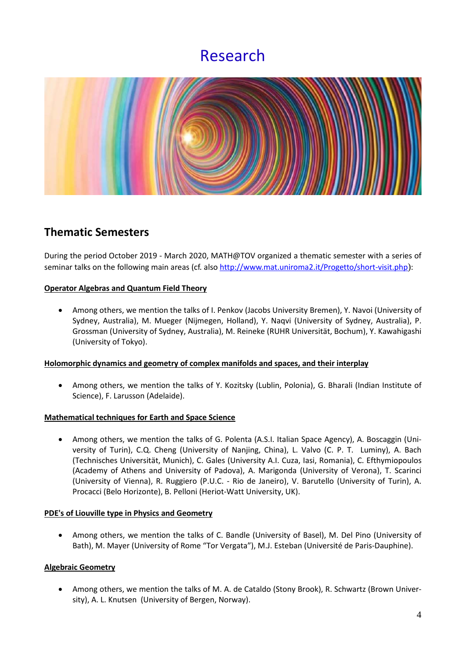## Research



## **Thematic Semesters**

During the period October 2019 - March 2020, MATH@TOV organized a thematic semester with a series of seminar talks on the following main areas (cf. also<http://www.mat.uniroma2.it/Progetto/short-visit.php>):

#### **Operator Algebras and Quantum Field Theory**

• Among others, we mention the talks of I. Penkov (Jacobs University Bremen), Y. Navoi (University of Sydney, Australia), M. Mueger (Nijmegen, Holland), Y. Naqvi (University of Sydney, Australia), P. Grossman (University of Sydney, Australia), M. Reineke (RUHR Universität, Bochum), Y. Kawahigashi (University of Tokyo).

#### **Holomorphic dynamics and geometry of complex manifolds and spaces, and their interplay**

• Among others, we mention the talks of Y. Kozitsky (Lublin, Polonia), G. Bharali (Indian Institute of Science), F. Larusson (Adelaide).

#### **Mathematical techniques for Earth and Space Science**

• Among others, we mention the talks of G. Polenta (A.S.I. Italian Space Agency), A. Boscaggin (University of Turin), C.Q. Cheng (University of Nanjing, China), L. Valvo (C. P. T. Luminy), A. Bach (Technisches Universität, Munich), C. Gales (University A.I. Cuza, Iasi, Romania), C. Efthymiopoulos (Academy of Athens and University of Padova), A. Marigonda (University of Verona), T. Scarinci (University of Vienna), R. Ruggiero (P.U.C. - Rio de Janeiro), V. Barutello (University of Turin), A. Procacci (Belo Horizonte), B. Pelloni (Heriot-Watt University, UK).

#### **PDE's of Liouville type in Physics and Geometry**

• Among others, we mention the talks of C. Bandle (University of Basel), M. Del Pino (University of Bath), M. Mayer (University of Rome "Tor Vergata"), M.J. Esteban (Université de Paris-Dauphine).

#### **Algebraic Geometry**

• Among others, we mention the talks of M. A. de Cataldo (Stony Brook), R. Schwartz (Brown University), A. L. Knutsen (University of Bergen, Norway).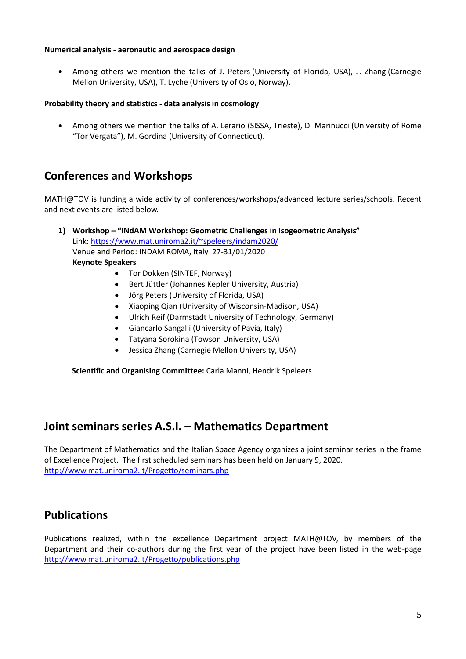#### **Numerical analysis - aeronautic and aerospace design**

• Among others we mention the talks of J. Peters (University of Florida, USA), J. Zhang (Carnegie Mellon University, USA), T. Lyche (University of Oslo, Norway).

#### **Probability theory and statistics - data analysis in cosmology**

• Among others we mention the talks of A. Lerario (SISSA, Trieste), D. Marinucci (University of Rome "Tor Vergata"), M. Gordina (University of Connecticut).

### **Conferences and Workshops**

MATH@TOV is funding a wide activity of conferences/workshops/advanced lecture series/schools. Recent and next events are listed below.

**1) Workshop – "INdAM Workshop: Geometric Challenges in Isogeometric Analysis"** Link: [https://www.mat.uniroma2.it/~speleers/indam2020/](https://www.mat.uniroma2.it/%7Espeleers/indam2020/) Venue and Period: INDAM ROMA, Italy 27-31/01/2020 **Keynote Speakers**

- Tor Dokken (SINTEF, Norway)
- Bert Jüttler (Johannes Kepler University, Austria)
- Jörg Peters (University of Florida, USA)
- Xiaoping Qian (University of Wisconsin-Madison, USA)
- Ulrich Reif (Darmstadt University of Technology, Germany)
- Giancarlo Sangalli (University of Pavia, Italy)
- Tatyana Sorokina (Towson University, USA)
- Jessica Zhang (Carnegie Mellon University, USA)

**Scientific and Organising Committee:** Carla Manni, Hendrik Speleers

### **Joint seminars series A.S.I. – Mathematics Department**

The Department of Mathematics and the Italian Space Agency organizes a joint seminar series in the frame of Excellence Project. The first scheduled seminars has been held on January 9, 2020. <http://www.mat.uniroma2.it/Progetto/seminars.php>

### **Publications**

Publications realized, within the excellence Department project MATH@TOV, by members of the Department and their co-authors during the first year of the project have been listed in the web-page <http://www.mat.uniroma2.it/Progetto/publications.php>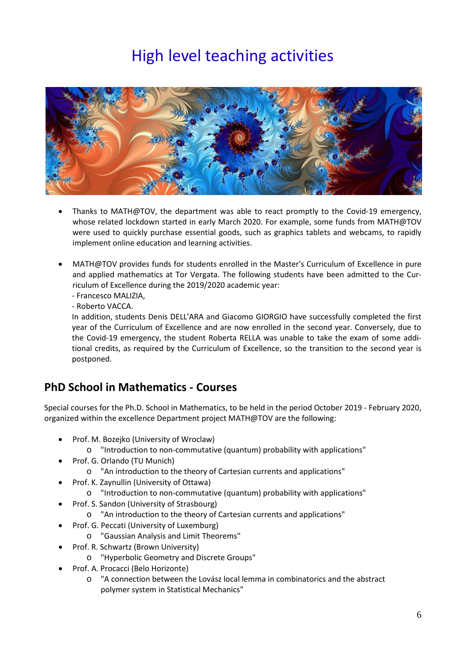# High level teaching activities



- Thanks to MATH@TOV, the department was able to react promptly to the Covid-19 emergency, whose related lockdown started in early March 2020. For example, some funds from MATH@TOV were used to quickly purchase essential goods, such as graphics tablets and webcams, to rapidly implement online education and learning activities.
- MATH@TOV provides funds for students enrolled in the Master's Curriculum of Excellence in pure and applied mathematics at Tor Vergata. The following students have been admitted to the Curriculum of Excellence during the 2019/2020 academic year:

- Francesco MALIZIA,

- Roberto VACCA.

In addition, students Denis DELL'ARA and Giacomo GIORGIO have successfully completed the first year of the Curriculum of Excellence and are now enrolled in the second year. Conversely, due to the Covid-19 emergency, the student Roberta RELLA was unable to take the exam of some additional credits, as required by the Curriculum of Excellence, so the transition to the second year is postponed.

## **PhD School in Mathematics - Courses**

Special courses for the Ph.D. School in Mathematics, to be held in the period October 2019 - February 2020, organized within the excellence Department project MATH@TOV are the following:

- Prof. M. Bozejko (University of Wroclaw)
	- o "Introduction to non-commutative (quantum) probability with applications"
	- Prof. G. Orlando (TU Munich)
		- o "An introduction to the theory of Cartesian currents and applications"
- Prof. K. Zaynullin (University of Ottawa)
	- o "Introduction to non-commutative (quantum) probability with applications"
- Prof. S. Sandon (University of Strasbourg)
	- o "An introduction to the theory of Cartesian currents and applications"
- Prof. G. Peccati (University of Luxemburg)
	- o "Gaussian Analysis and Limit Theorems"
- Prof. R. Schwartz (Brown University)
	- o "Hyperbolic Geometry and Discrete Groups"
- Prof. A. Procacci (Belo Horizonte)
	- o "A connection between the Lovász local lemma in combinatorics and the abstract polymer system in Statistical Mechanics"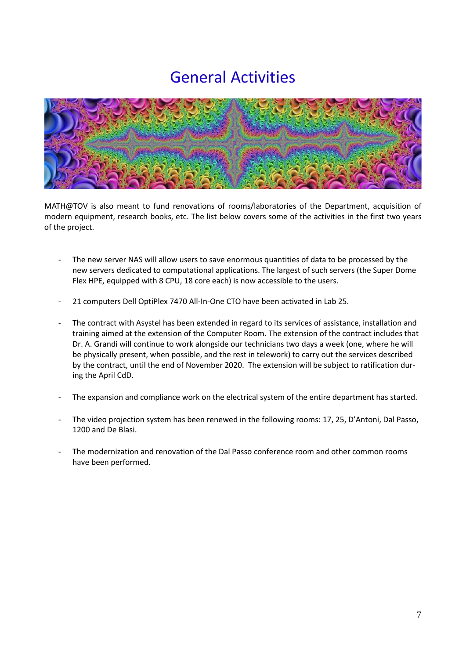# General Activities



MATH@TOV is also meant to fund renovations of rooms/laboratories of the Department, acquisition of modern equipment, research books, etc. The list below covers some of the activities in the first two years of the project.

- The new server NAS will allow users to save enormous quantities of data to be processed by the new servers dedicated to computational applications. The largest of such servers (the Super Dome Flex HPE, equipped with 8 CPU, 18 core each) is now accessible to the users.
- 21 computers Dell OptiPlex 7470 All-In-One CTO have been activated in Lab 25.
- The contract with Asystel has been extended in regard to its services of assistance, installation and training aimed at the extension of the Computer Room. The extension of the contract includes that Dr. A. Grandi will continue to work alongside our technicians two days a week (one, where he will be physically present, when possible, and the rest in telework) to carry out the services described by the contract, until the end of November 2020. The extension will be subject to ratification during the April CdD.
- The expansion and compliance work on the electrical system of the entire department has started.
- The video projection system has been renewed in the following rooms: 17, 25, D'Antoni, Dal Passo, 1200 and De Blasi.
- The modernization and renovation of the Dal Passo conference room and other common rooms have been performed.